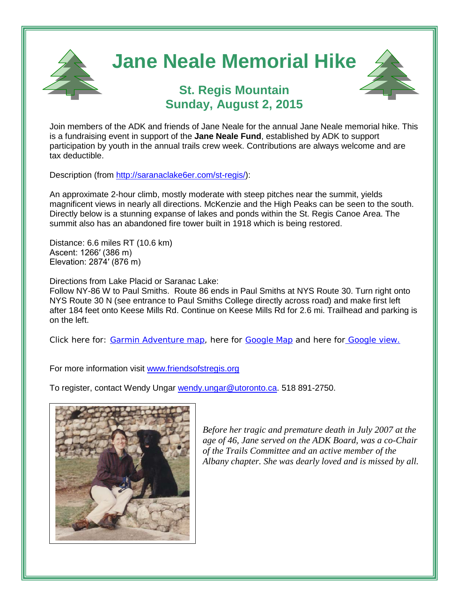

Join members of the ADK and friends of Jane Neale for the annual Jane Neale memorial hike. This is a fundraising event in support of the **Jane Neale Fund**, established by ADK to support participation by youth in the annual trails crew week. Contributions are always welcome and are tax deductible.

Description (from [http://saranaclake6er.com/st-regis/\)](http://saranaclake6er.com/st-regis/):

An approximate 2-hour climb, mostly moderate with steep pitches near the summit, yields magnificent views in nearly all directions. McKenzie and the High Peaks can be seen to the south. Directly below is a stunning expanse of lakes and ponds within the St. Regis Canoe Area. The summit also has an abandoned fire tower built in 1918 which is being restored.

Distance: 6.6 miles RT (10.6 km) Ascent: 1266′ (386 m) Elevation: 2874′ (876 m)

Directions from Lake Placid or Saranac Lake:

Follow NY-86 W to Paul Smiths. Route 86 ends in Paul Smiths at NYS Route 30. Turn right onto NYS Route 30 N (see entrance to Paul Smiths College directly across road) and make first left after 184 feet onto Keese Mills Rd. Continue on Keese Mills Rd for 2.6 mi. Trailhead and parking is on the left.

Click here for: [Garmin Adventure map,](http://adventures.garmin.com/en-US/by/labombard/st-regis-mt/#overview) here for [Google Map](https://www.google.com/maps/place/Keeses+Mill+Rd,+Paul+Smiths,+NY+12970/@44.4351036,-74.3103568,17z/data=!4m2!3m1!1s0x4ccb0ca7d8e2a1e5:0x926e76c80310a128) and here for [Google view.](https://www.google.com/maps/@44.432008,-74.299608,3a,75y,295.34h,98.82t/data=!3m4!1e1!3m2!1sNP6jB3Ma9ZVJ03aCkdgLeA!2e0)

For more information visit [www.friendsofstregis.org](http://www.friendsofstregis.org/)

To register, contact Wendy Ungar [wendy.ungar@utoronto.ca.](mailto:wendy.ungar@utoronto.ca) 518 891-2750.



*Before her tragic and premature death in July 2007 at the age of 46, Jane served on the ADK Board, was a co-Chair of the Trails Committee and an active member of the Albany chapter. She was dearly loved and is missed by all.*